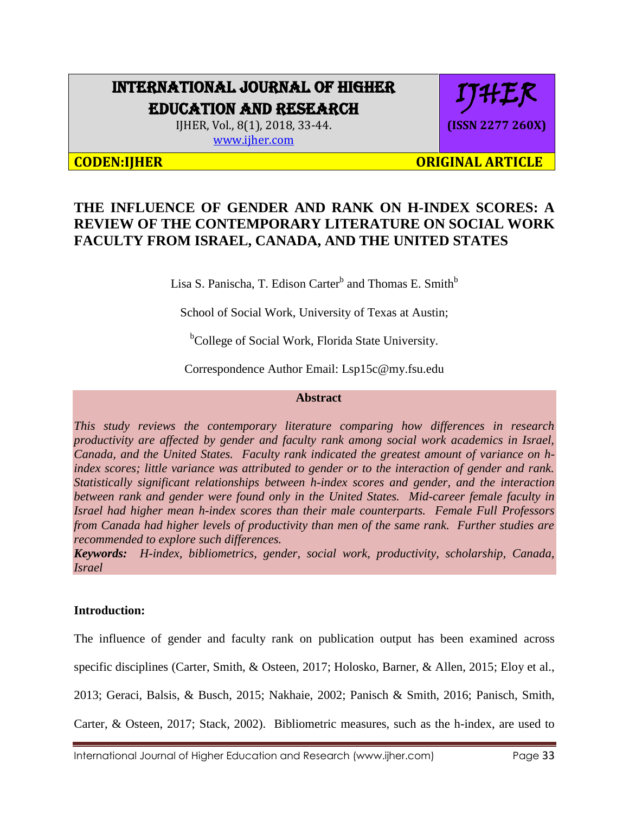# INTERNATIONAL JOURNAL OF HIGHER EDUCATION AND RESEARCH

IJHER, Vol., 8(1), 2018, 33-44. [www.ijher.com](http://www.ijher.com/)

**CODEN:IJHER ORIGINAL ARTICLE** 

# **THE INFLUENCE OF GENDER AND RANK ON H-INDEX SCORES: A REVIEW OF THE CONTEMPORARY LITERATURE ON SOCIAL WORK FACULTY FROM ISRAEL, CANADA, AND THE UNITED STATES**

Lisa S. Panischa, T. Edison Carter<sup>b</sup> and Thomas E. Smith<sup>b</sup>

School of Social Work, University of Texas at Austin;

<sup>b</sup>College of Social Work, Florida State University.

Correspondence Author Email: Lsp15c@my.fsu.edu

### **Abstract**

*This study reviews the contemporary literature comparing how differences in research productivity are affected by gender and faculty rank among social work academics in Israel, Canada, and the United States. Faculty rank indicated the greatest amount of variance on hindex scores; little variance was attributed to gender or to the interaction of gender and rank. Statistically significant relationships between h-index scores and gender, and the interaction between rank and gender were found only in the United States. Mid-career female faculty in Israel had higher mean h-index scores than their male counterparts. Female Full Professors from Canada had higher levels of productivity than men of the same rank. Further studies are recommended to explore such differences.* 

*Keywords: H-index, bibliometrics, gender, social work, productivity, scholarship, Canada, Israel*

## **Introduction:**

The influence of gender and faculty rank on publication output has been examined across specific disciplines (Carter, Smith, & Osteen, 2017; Holosko, Barner, & Allen, 2015; Eloy et al., 2013; Geraci, Balsis, & Busch, 2015; Nakhaie, 2002; Panisch & Smith, 2016; Panisch, Smith, Carter, & Osteen, 2017; Stack, 2002). Bibliometric measures, such as the h-index, are used to

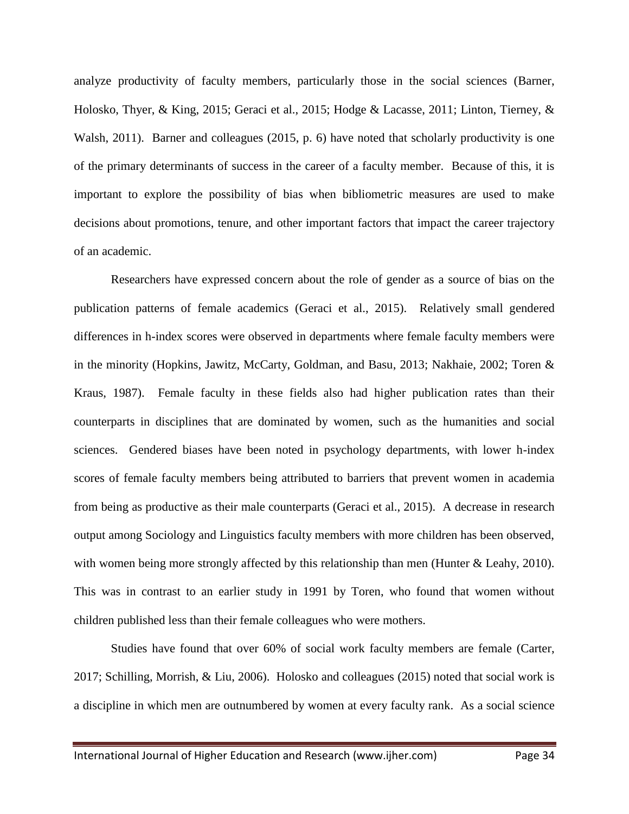analyze productivity of faculty members, particularly those in the social sciences (Barner, Holosko, Thyer, & King, 2015; Geraci et al., 2015; Hodge & Lacasse, 2011; Linton, Tierney, & Walsh, 2011). Barner and colleagues (2015, p. 6) have noted that scholarly productivity is one of the primary determinants of success in the career of a faculty member. Because of this, it is important to explore the possibility of bias when bibliometric measures are used to make decisions about promotions, tenure, and other important factors that impact the career trajectory of an academic.

Researchers have expressed concern about the role of gender as a source of bias on the publication patterns of female academics (Geraci et al., 2015). Relatively small gendered differences in h-index scores were observed in departments where female faculty members were in the minority (Hopkins, Jawitz, McCarty, Goldman, and Basu, 2013; Nakhaie, 2002; Toren & Kraus, 1987). Female faculty in these fields also had higher publication rates than their counterparts in disciplines that are dominated by women, such as the humanities and social sciences. Gendered biases have been noted in psychology departments, with lower h-index scores of female faculty members being attributed to barriers that prevent women in academia from being as productive as their male counterparts (Geraci et al., 2015). A decrease in research output among Sociology and Linguistics faculty members with more children has been observed, with women being more strongly affected by this relationship than men (Hunter & Leahy, 2010). This was in contrast to an earlier study in 1991 by Toren, who found that women without children published less than their female colleagues who were mothers.

Studies have found that over 60% of social work faculty members are female (Carter, 2017; Schilling, Morrish, & Liu, 2006). Holosko and colleagues (2015) noted that social work is a discipline in which men are outnumbered by women at every faculty rank. As a social science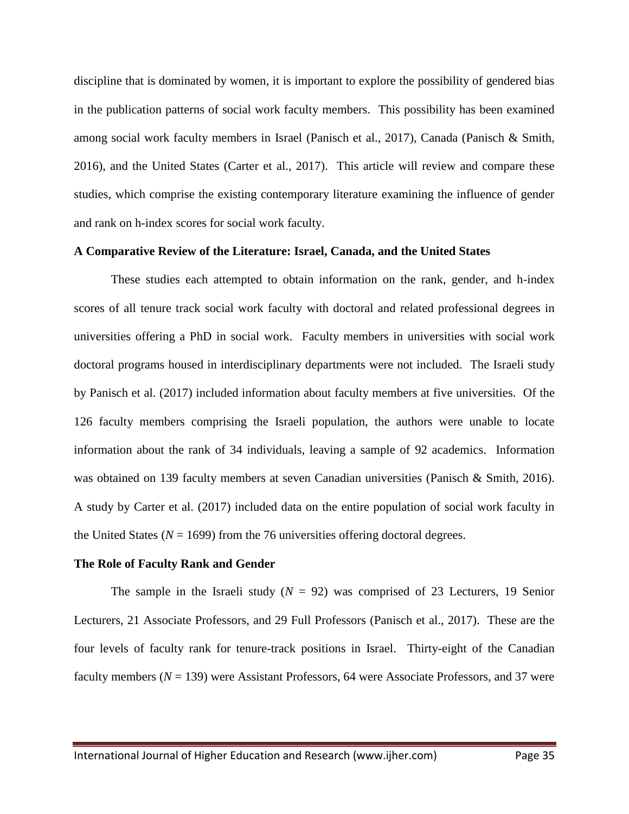discipline that is dominated by women, it is important to explore the possibility of gendered bias in the publication patterns of social work faculty members. This possibility has been examined among social work faculty members in Israel (Panisch et al., 2017), Canada (Panisch & Smith, 2016), and the United States (Carter et al., 2017). This article will review and compare these studies, which comprise the existing contemporary literature examining the influence of gender and rank on h-index scores for social work faculty.

#### **A Comparative Review of the Literature: Israel, Canada, and the United States**

These studies each attempted to obtain information on the rank, gender, and h-index scores of all tenure track social work faculty with doctoral and related professional degrees in universities offering a PhD in social work. Faculty members in universities with social work doctoral programs housed in interdisciplinary departments were not included. The Israeli study by Panisch et al. (2017) included information about faculty members at five universities. Of the 126 faculty members comprising the Israeli population, the authors were unable to locate information about the rank of 34 individuals, leaving a sample of 92 academics. Information was obtained on 139 faculty members at seven Canadian universities (Panisch & Smith, 2016). A study by Carter et al. (2017) included data on the entire population of social work faculty in the United States ( $N = 1699$ ) from the 76 universities offering doctoral degrees.

#### **The Role of Faculty Rank and Gender**

The sample in the Israeli study  $(N = 92)$  was comprised of 23 Lecturers, 19 Senior Lecturers, 21 Associate Professors, and 29 Full Professors (Panisch et al., 2017). These are the four levels of faculty rank for tenure-track positions in Israel. Thirty-eight of the Canadian faculty members (*N* = 139) were Assistant Professors, 64 were Associate Professors, and 37 were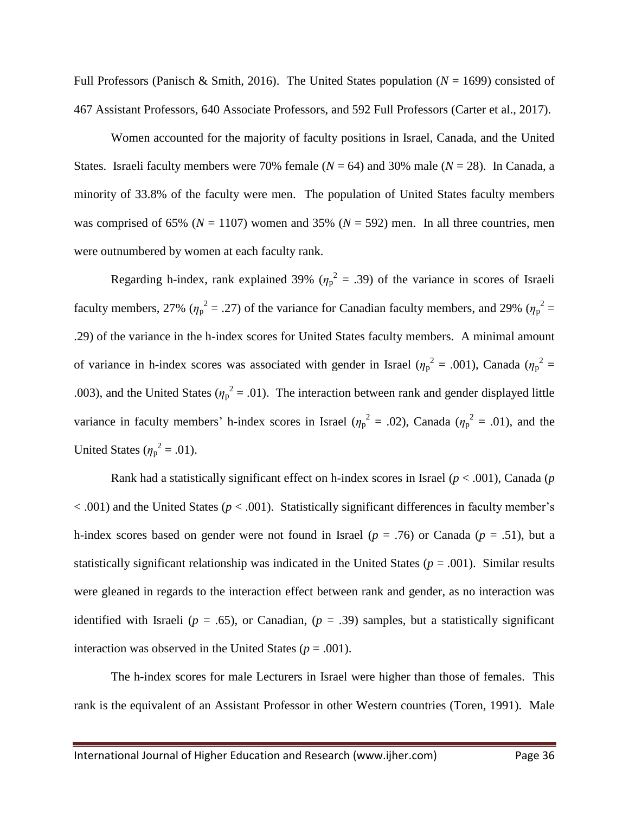Full Professors (Panisch & Smith, 2016). The United States population (*N* = 1699) consisted of 467 Assistant Professors, 640 Associate Professors, and 592 Full Professors (Carter et al., 2017).

Women accounted for the majority of faculty positions in Israel, Canada, and the United States. Israeli faculty members were 70% female  $(N = 64)$  and 30% male  $(N = 28)$ . In Canada, a minority of 33.8% of the faculty were men. The population of United States faculty members was comprised of 65% ( $N = 1107$ ) women and 35% ( $N = 592$ ) men. In all three countries, men were outnumbered by women at each faculty rank.

Regarding h-index, rank explained 39% ( $\eta_p^2 = .39$ ) of the variance in scores of Israeli faculty members, 27% ( $\eta_p^2 = .27$ ) of the variance for Canadian faculty members, and 29% ( $\eta_p^2 =$ .29) of the variance in the h-index scores for United States faculty members. A minimal amount of variance in h-index scores was associated with gender in Israel ( $\eta_p^2 = .001$ ), Canada ( $\eta_p^2 =$ .003), and the United States ( $\eta_p^2 = .01$ ). The interaction between rank and gender displayed little variance in faculty members' h-index scores in Israel ( $\eta_p^2 = .02$ ), Canada ( $\eta_p^2 = .01$ ), and the United States ( $\eta_p^2 = .01$ ).

Rank had a statistically significant effect on h-index scores in Israel (*p* < .001), Canada (*p* < .001) and the United States (*p* < .001). Statistically significant differences in faculty member's h-index scores based on gender were not found in Israel ( $p = .76$ ) or Canada ( $p = .51$ ), but a statistically significant relationship was indicated in the United States ( $p = .001$ ). Similar results were gleaned in regards to the interaction effect between rank and gender, as no interaction was identified with Israeli ( $p = .65$ ), or Canadian, ( $p = .39$ ) samples, but a statistically significant interaction was observed in the United States ( $p = .001$ ).

The h-index scores for male Lecturers in Israel were higher than those of females. This rank is the equivalent of an Assistant Professor in other Western countries (Toren, 1991). Male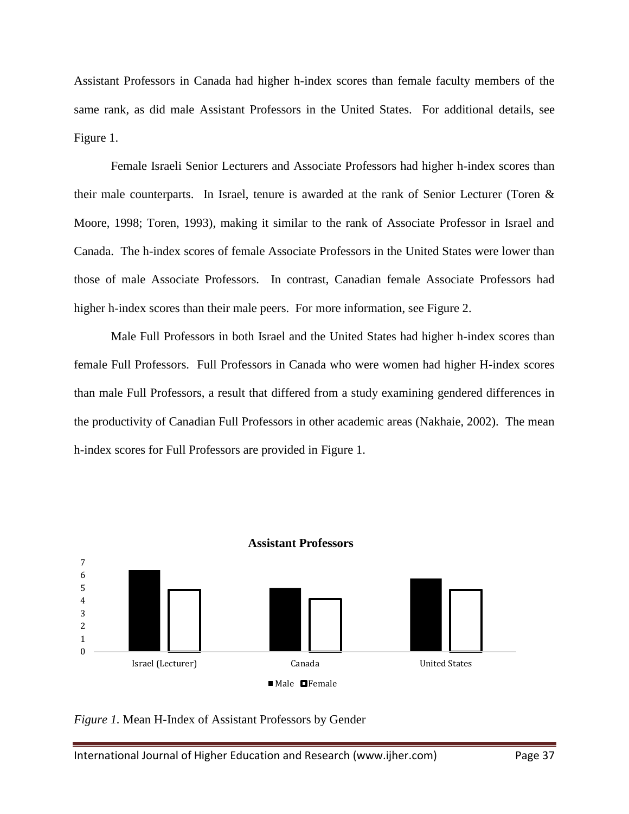Assistant Professors in Canada had higher h-index scores than female faculty members of the same rank, as did male Assistant Professors in the United States. For additional details, see Figure 1.

Female Israeli Senior Lecturers and Associate Professors had higher h-index scores than their male counterparts. In Israel, tenure is awarded at the rank of Senior Lecturer (Toren & Moore, 1998; Toren, 1993), making it similar to the rank of Associate Professor in Israel and Canada. The h-index scores of female Associate Professors in the United States were lower than those of male Associate Professors. In contrast, Canadian female Associate Professors had higher h-index scores than their male peers. For more information, see Figure 2.

Male Full Professors in both Israel and the United States had higher h-index scores than female Full Professors. Full Professors in Canada who were women had higher H-index scores than male Full Professors, a result that differed from a study examining gendered differences in the productivity of Canadian Full Professors in other academic areas (Nakhaie, 2002). The mean h-index scores for Full Professors are provided in Figure 1.



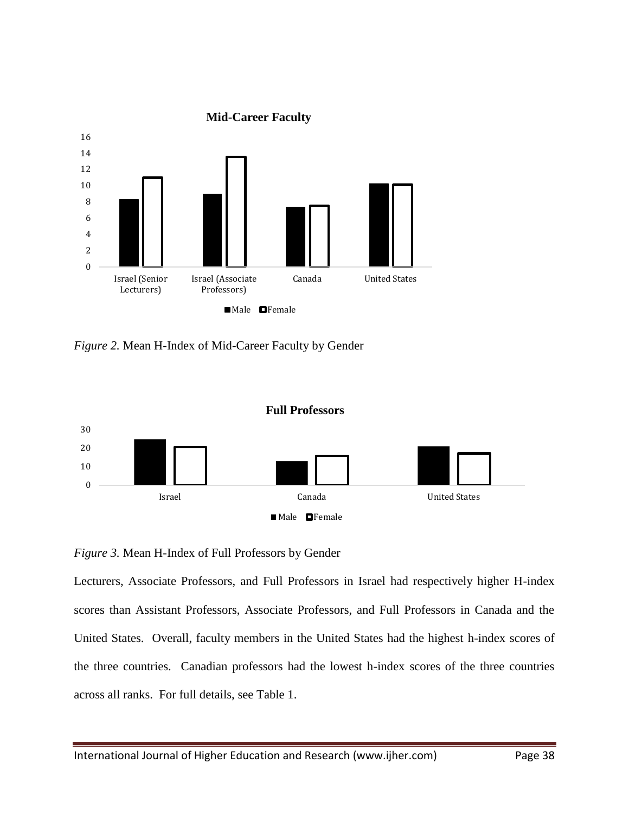

*Figure 2.* Mean H-Index of Mid-Career Faculty by Gender



# *Figure 3.* Mean H-Index of Full Professors by Gender

Lecturers, Associate Professors, and Full Professors in Israel had respectively higher H-index scores than Assistant Professors, Associate Professors, and Full Professors in Canada and the United States. Overall, faculty members in the United States had the highest h-index scores of the three countries. Canadian professors had the lowest h-index scores of the three countries across all ranks. For full details, see Table 1.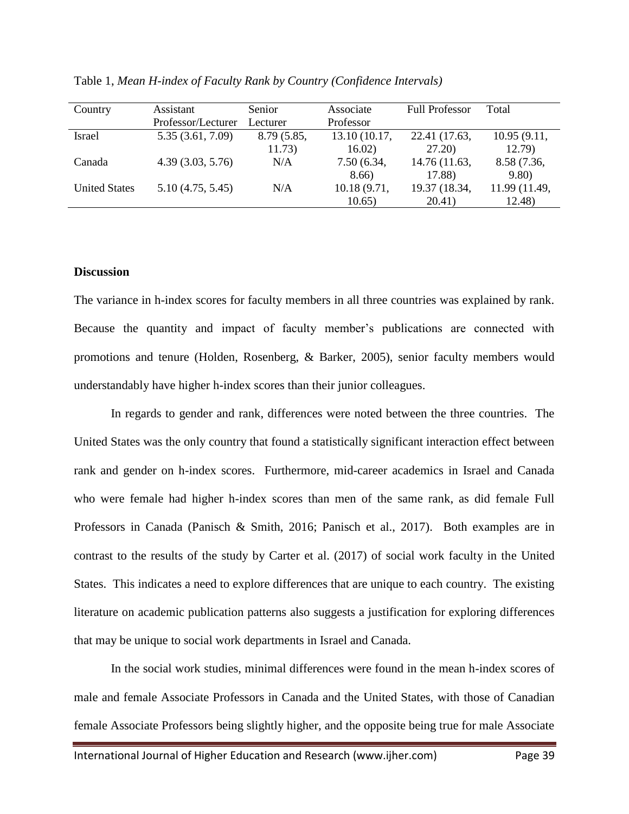| Country              | Assistant          | <b>Senior</b> | Associate     | <b>Full Professor</b> | Total         |
|----------------------|--------------------|---------------|---------------|-----------------------|---------------|
|                      | Professor/Lecturer | Lecturer      | Professor     |                       |               |
| <b>Israel</b>        | 5.35 (3.61, 7.09)  | 8.79 (5.85,   | 13.10 (10.17, | 22.41 (17.63,         | 10.95 (9.11,  |
|                      |                    | 11.73)        | 16.02)        | 27.20)                | 12.79)        |
| Canada               | 4.39(3.03, 5.76)   | N/A           | 7.50 (6.34,   | 14.76 (11.63,         | 8.58 (7.36,   |
|                      |                    |               | 8.66)         | 17.88)                | 9.80)         |
| <b>United States</b> | 5.10(4.75, 5.45)   | N/A           | 10.18 (9.71,  | 19.37 (18.34,         | 11.99 (11.49, |
|                      |                    |               | 10.65)        | 20.41)                | 12.48)        |

Table 1, *Mean H-index of Faculty Rank by Country (Confidence Intervals)*

#### **Discussion**

The variance in h-index scores for faculty members in all three countries was explained by rank. Because the quantity and impact of faculty member's publications are connected with promotions and tenure (Holden, Rosenberg, & Barker, 2005), senior faculty members would understandably have higher h-index scores than their junior colleagues.

In regards to gender and rank, differences were noted between the three countries. The United States was the only country that found a statistically significant interaction effect between rank and gender on h-index scores. Furthermore, mid-career academics in Israel and Canada who were female had higher h-index scores than men of the same rank, as did female Full Professors in Canada (Panisch & Smith, 2016; Panisch et al., 2017). Both examples are in contrast to the results of the study by Carter et al. (2017) of social work faculty in the United States. This indicates a need to explore differences that are unique to each country. The existing literature on academic publication patterns also suggests a justification for exploring differences that may be unique to social work departments in Israel and Canada.

In the social work studies, minimal differences were found in the mean h-index scores of male and female Associate Professors in Canada and the United States, with those of Canadian female Associate Professors being slightly higher, and the opposite being true for male Associate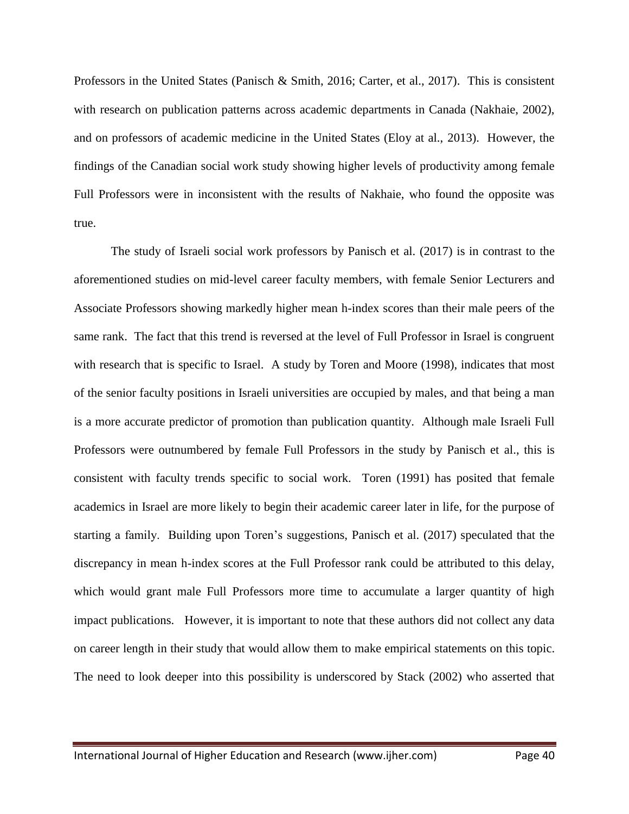Professors in the United States (Panisch & Smith, 2016; Carter, et al., 2017). This is consistent with research on publication patterns across academic departments in Canada (Nakhaie, 2002), and on professors of academic medicine in the United States (Eloy at al., 2013). However, the findings of the Canadian social work study showing higher levels of productivity among female Full Professors were in inconsistent with the results of Nakhaie, who found the opposite was true.

The study of Israeli social work professors by Panisch et al. (2017) is in contrast to the aforementioned studies on mid-level career faculty members, with female Senior Lecturers and Associate Professors showing markedly higher mean h-index scores than their male peers of the same rank. The fact that this trend is reversed at the level of Full Professor in Israel is congruent with research that is specific to Israel. A study by Toren and Moore (1998), indicates that most of the senior faculty positions in Israeli universities are occupied by males, and that being a man is a more accurate predictor of promotion than publication quantity. Although male Israeli Full Professors were outnumbered by female Full Professors in the study by Panisch et al., this is consistent with faculty trends specific to social work. Toren (1991) has posited that female academics in Israel are more likely to begin their academic career later in life, for the purpose of starting a family. Building upon Toren's suggestions, Panisch et al. (2017) speculated that the discrepancy in mean h-index scores at the Full Professor rank could be attributed to this delay, which would grant male Full Professors more time to accumulate a larger quantity of high impact publications. However, it is important to note that these authors did not collect any data on career length in their study that would allow them to make empirical statements on this topic. The need to look deeper into this possibility is underscored by Stack (2002) who asserted that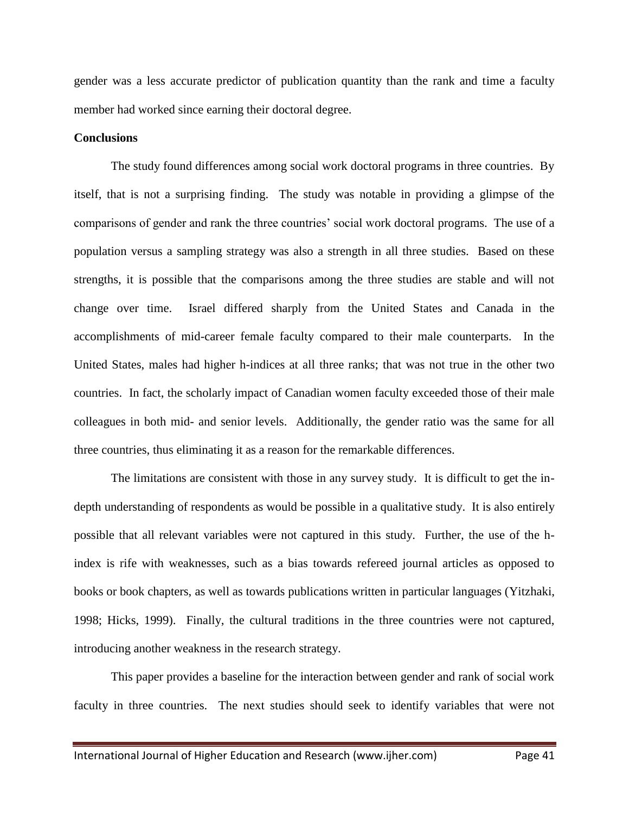gender was a less accurate predictor of publication quantity than the rank and time a faculty member had worked since earning their doctoral degree.

#### **Conclusions**

The study found differences among social work doctoral programs in three countries. By itself, that is not a surprising finding. The study was notable in providing a glimpse of the comparisons of gender and rank the three countries' social work doctoral programs. The use of a population versus a sampling strategy was also a strength in all three studies. Based on these strengths, it is possible that the comparisons among the three studies are stable and will not change over time. Israel differed sharply from the United States and Canada in the accomplishments of mid-career female faculty compared to their male counterparts. In the United States, males had higher h-indices at all three ranks; that was not true in the other two countries. In fact, the scholarly impact of Canadian women faculty exceeded those of their male colleagues in both mid- and senior levels. Additionally, the gender ratio was the same for all three countries, thus eliminating it as a reason for the remarkable differences.

The limitations are consistent with those in any survey study. It is difficult to get the indepth understanding of respondents as would be possible in a qualitative study. It is also entirely possible that all relevant variables were not captured in this study. Further, the use of the hindex is rife with weaknesses, such as a bias towards refereed journal articles as opposed to books or book chapters, as well as towards publications written in particular languages (Yitzhaki, 1998; Hicks, 1999). Finally, the cultural traditions in the three countries were not captured, introducing another weakness in the research strategy.

This paper provides a baseline for the interaction between gender and rank of social work faculty in three countries. The next studies should seek to identify variables that were not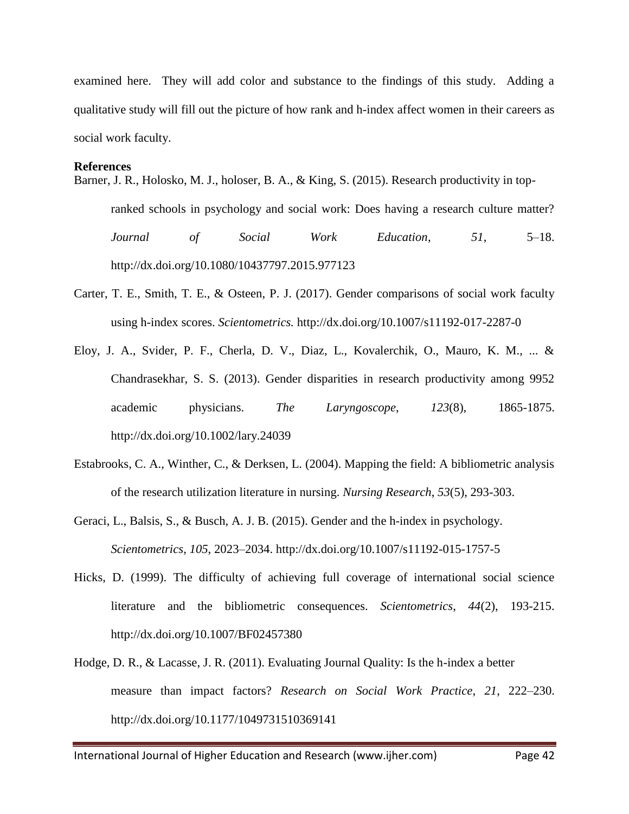examined here. They will add color and substance to the findings of this study. Adding a qualitative study will fill out the picture of how rank and h-index affect women in their careers as social work faculty.

#### **References**

Barner, J. R., Holosko, M. J., holoser, B. A., & King, S. (2015). Research productivity in top-

ranked schools in psychology and social work: Does having a research culture matter? *Journal of Social Work Education*, *51*, 5–18. http://dx.doi.org/10.1080/10437797.2015.977123

- Carter, T. E., Smith, T. E., & Osteen, P. J. (2017). Gender comparisons of social work faculty using h-index scores. *Scientometrics.* http://dx.doi.org/10.1007/s11192-017-2287-0
- Eloy, J. A., Svider, P. F., Cherla, D. V., Diaz, L., Kovalerchik, O., Mauro, K. M., ... & Chandrasekhar, S. S. (2013). Gender disparities in research productivity among 9952 academic physicians. *The Laryngoscope*, *123*(8), 1865-1875. http://dx.doi.org/10.1002/lary.24039
- Estabrooks, C. A., Winther, C., & Derksen, L. (2004). Mapping the field: A bibliometric analysis of the research utilization literature in nursing. *Nursing Research*, *53*(5), 293-303.
- Geraci, L., Balsis, S., & Busch, A. J. B. (2015). Gender and the h-index in psychology. *Scientometrics*, *105*, 2023–2034. http://dx.doi.org/10.1007/s11192-015-1757-5
- Hicks, D. (1999). The difficulty of achieving full coverage of international social science literature and the bibliometric consequences. *Scientometrics*, *44*(2), 193-215. http://dx.doi.org/10.1007/BF02457380
- Hodge, D. R., & Lacasse, J. R. (2011). Evaluating Journal Quality: Is the h-index a better measure than impact factors? *Research on Social Work Practice*, *21*, 222–230. http://dx.doi.org/10.1177/1049731510369141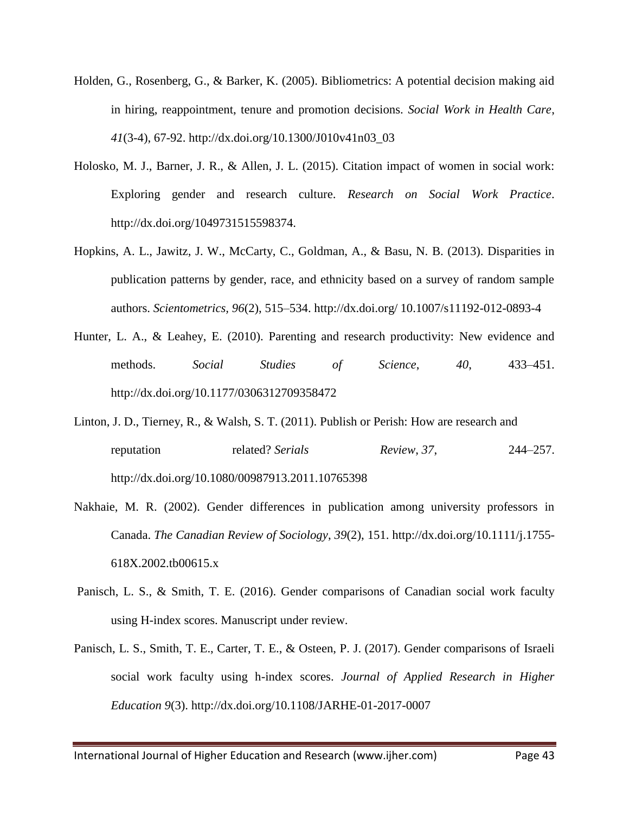- Holden, G., Rosenberg, G., & Barker, K. (2005). Bibliometrics: A potential decision making aid in hiring, reappointment, tenure and promotion decisions. *Social Work in Health Care*, *41*(3-4), 67-92. http://dx.doi.org/10.1300/J010v41n03\_03
- Holosko, M. J., Barner, J. R., & Allen, J. L. (2015). Citation impact of women in social work: Exploring gender and research culture. *Research on Social Work Practice*. http://dx.doi.org/1049731515598374.
- Hopkins, A. L., Jawitz, J. W., McCarty, C., Goldman, A., & Basu, N. B. (2013). Disparities in publication patterns by gender, race, and ethnicity based on a survey of random sample authors. *Scientometrics, 96*(2), 515–534. http://dx.doi.org/ 10.1007/s11192-012-0893-4
- Hunter, L. A., & Leahey, E. (2010). Parenting and research productivity: New evidence and methods. *Social Studies of Science*, *40*, 433–451. http://dx.doi.org/10.1177/0306312709358472
- Linton, J. D., Tierney, R., & Walsh, S. T. (2011). Publish or Perish: How are research and reputation related? *Serials Review*, *37*, 244–257. http://dx.doi.org/10.1080/00987913.2011.10765398
- Nakhaie, M. R. (2002). Gender differences in publication among university professors in Canada. *The Canadian Review of Sociology*, *39*(2), 151. http://dx.doi.org/10.1111/j.1755- 618X.2002.tb00615.x
- Panisch, L. S., & Smith, T. E. (2016). Gender comparisons of Canadian social work faculty using H-index scores. Manuscript under review.
- Panisch, L. S., Smith, T. E., Carter, T. E., & Osteen, P. J. (2017). Gender comparisons of Israeli social work faculty using h-index scores. *Journal of Applied Research in Higher Education 9*(3). http://dx.doi.org/10.1108/JARHE-01-2017-0007